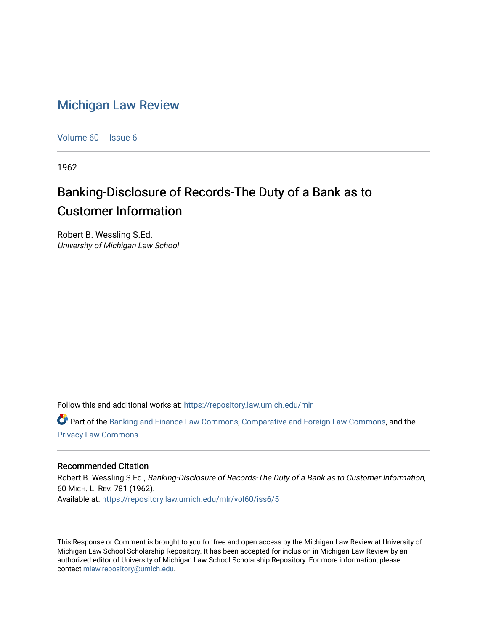## [Michigan Law Review](https://repository.law.umich.edu/mlr)

[Volume 60](https://repository.law.umich.edu/mlr/vol60) | [Issue 6](https://repository.law.umich.edu/mlr/vol60/iss6)

1962

# Banking-Disclosure of Records-The Duty of a Bank as to Customer Information

Robert B. Wessling S.Ed. University of Michigan Law School

Follow this and additional works at: [https://repository.law.umich.edu/mlr](https://repository.law.umich.edu/mlr?utm_source=repository.law.umich.edu%2Fmlr%2Fvol60%2Fiss6%2F5&utm_medium=PDF&utm_campaign=PDFCoverPages) 

Part of the [Banking and Finance Law Commons,](http://network.bepress.com/hgg/discipline/833?utm_source=repository.law.umich.edu%2Fmlr%2Fvol60%2Fiss6%2F5&utm_medium=PDF&utm_campaign=PDFCoverPages) [Comparative and Foreign Law Commons](http://network.bepress.com/hgg/discipline/836?utm_source=repository.law.umich.edu%2Fmlr%2Fvol60%2Fiss6%2F5&utm_medium=PDF&utm_campaign=PDFCoverPages), and the [Privacy Law Commons](http://network.bepress.com/hgg/discipline/1234?utm_source=repository.law.umich.edu%2Fmlr%2Fvol60%2Fiss6%2F5&utm_medium=PDF&utm_campaign=PDFCoverPages) 

#### Recommended Citation

Robert B. Wessling S.Ed., Banking-Disclosure of Records-The Duty of a Bank as to Customer Information, 60 MICH. L. REV. 781 (1962). Available at: [https://repository.law.umich.edu/mlr/vol60/iss6/5](https://repository.law.umich.edu/mlr/vol60/iss6/5?utm_source=repository.law.umich.edu%2Fmlr%2Fvol60%2Fiss6%2F5&utm_medium=PDF&utm_campaign=PDFCoverPages)

This Response or Comment is brought to you for free and open access by the Michigan Law Review at University of Michigan Law School Scholarship Repository. It has been accepted for inclusion in Michigan Law Review by an authorized editor of University of Michigan Law School Scholarship Repository. For more information, please contact [mlaw.repository@umich.edu](mailto:mlaw.repository@umich.edu).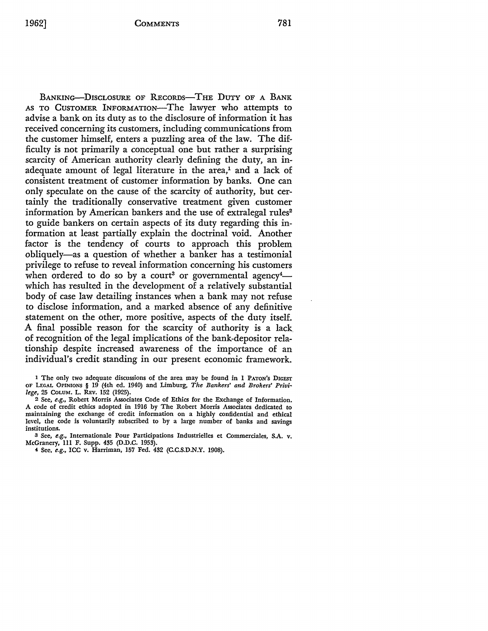BANKING-DISCLOSURE OF RECORDS-THE DUTY OF A BANK AS To CUSTOMER INFORMATION-The lawyer who attempts to advise a bank on its duty as to the disclosure of information it has received concerning its customers, including communications from the customer himself, enters a puzzling area of the law. The difficulty is not primarily a conceptual one but rather a surprising scarcity of American authority clearly defining the duty, an inadequate amount of legal literature in the area,<sup>1</sup> and a lack of consistent treatment of customer information by banks. One can only speculate on the cause of the scarcity of authority, but certainly the traditionally conservative treatment given customer information by American bankers and the use of extralegal rules<sup>2</sup> to guide bankers on certain aspects of its duty regarding this information at least partially explain the doctrinal void. Another factor is the tendency of courts to approach this problem obliquely-as a question of whether a banker has a testimonial privilege to refuse to reveal information concerning his customers when ordered to do so by a court<sup>3</sup> or governmental agency<sup>4</sup>which has resulted in the development of a relatively substantial body of case law detailing instances when a bank may not refuse to disclose information, and a marked absence of any definitive statement on the other, more positive, aspects of the duty itself. A final possible reason for the scarcity of authority is a lack of recognition of the legal implications of the bank-depositor relationship despite increased awareness of the importance of an individual's credit standing in our present economic framework.

1 The only two adequate discussions of the area may be found in 1 PATON's DIGEST OF LEGAL OPINIONS § 19 (4th ed. 1940) and Limburg, *The Bankers' and Brokers' Privilege,* 25 COLUM. L. REv. 152 (1925).

2 See, *e.g.,* Robert Morris Associates Code of Ethics for the Exchange of Information. **A** code of credit ethics adopted in 1916 by The Robert Morris Associates dedicated to maintaining the exchange of credit information on a highly confidential and ethical level, the code is voluntarily subscribed to by a large number of banks and savings institutions.

<sup>3</sup>See, *e.g.,* Internationale Pour Participations Industrielles et Commerciales, S.A. v. McGranery, Ill F. Supp. 435 (D.D.C. 1953).

<sup>4</sup> See, *e.g.,* ICC v. Harriman, 157 Fed. 432 (C.C.S.D.N.Y. 1908).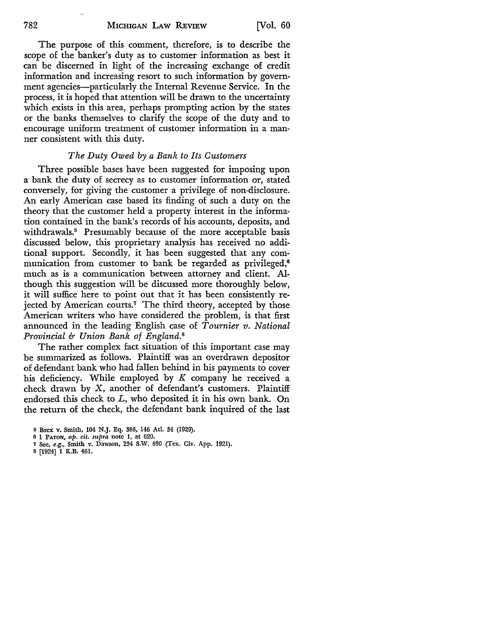The purpose of this comment, therefore, is to describe the scope of the banker's duty as to customer information as best it can be discerned in light of the increasing exchange of credit information and increasing resort to such information by government agencies—particularly the Internal Revenue Service. In the process, it is hoped that attention will be drawn to the uncertainty which exists in this area, perhaps prompting action by the states or the banks themselves to clarify the scope of the duty and to encourage uniform treatment of customer information in a manner consistent with this duty.

#### *The Duty Owed by a Bank to Its Customers*

Three possible bases have been suggested for imposing upon a bank the duty of secrecy as to customer information or, stated conversely, for giving the customer a privilege of non-disclosure. An early American case based its finding of such a duty on the theory that the customer held a property interest in the information contained in the bank's records of his accounts, deposits, and withdrawals.<sup>5</sup> Presumably because of the more acceptable basis discussed below, this proprietary analysis has received no additional support. Secondly, it has been suggested that any communication from customer to bank be regarded as privileged,<sup>6</sup> much as is a communication between attorney and client. Although this suggestion will be discussed more thoroughly below, it will suffice here to point out that it has been consistently rejected by American courts.<sup>7</sup> The third theory, accepted by those American writers who have considered the problem, is that first announced in the leading English case of *Tournier v. National Provincial & Union Bank of England.*<sup>8</sup>

The rather complex fact situation of this important case may be summarized as follows. Plaintiff was an overdrawn depositor of defendant bank who had fallen behind in his payments to cover his deficiency. While employed by *K* company he received a check drawn by X, another of defendant's customers. Plaintiff endorsed this check to L, who deposited it in his own bank. On the return of the check, the defendant bank inquired of the last

s (1924] 1 K.B. 461.

<sup>5</sup> Brex v. Smith, 104 N.J. Eq. 386, 146 Atl. 34: (1929).

<sup>6</sup>1 PATON, *op. cit. supra* note 1, at 620.

<sup>7</sup> See, *e.g.,* Smith v. Dawson, 234 S.W. 690 (Tex. Civ. App. 1921).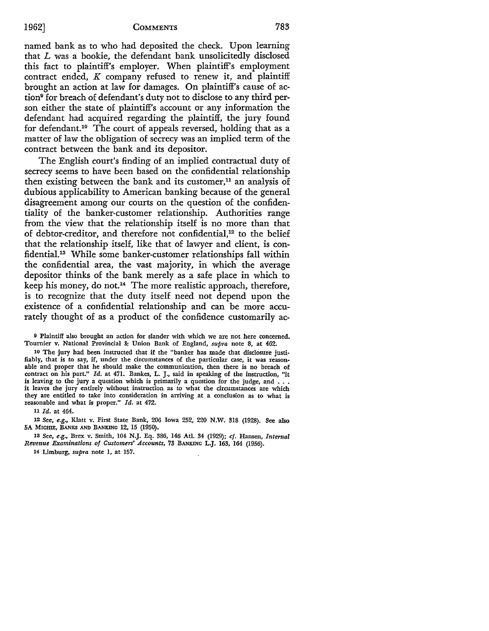named bank as to who had deposited the check. Upon learning that *L* was a bookie, the defendant bank unsolicitedly disclosed this fact to plaintiff's employer. When plaintiff's employment contract ended, *K* company refused to renew it, and plaintiff brought an action at law for damages. On plaintiff's cause of action9 for breach of defendant's duty not to disclose to any third person either the state of plaintiff's account or any information the defendant had acquired regarding the plaintiff, the jury found for defendant.10 The court of appeals reversed, holding that as a matter of law the obligation of secrecy was an implied term of the contract between the bank and its depositor.

The English court's finding of an implied contractual duty of secrecy seems to have been based on the confidential relationship then existing between the bank and its customer, $11$  an analysis of dubious applicability to American banking because of the general disagreement among our courts on the question of the confidentiality of the banker-customer relationship. Authorities range from the view that the relationship itself is no more than that of debtor-creditor, and therefore not confidential,<sup>12</sup> to the belief that the relationship itself, like that of lawyer and client, is confidential.13 While some banker-customer relationships fall within the confidential area, the vast majority, in which the average depositor thinks of the bank merely as a safe place in which to keep his money, do not.14 The more realistic approach, therefore, is to recognize that the duty itself need not depend upon the existence of a confidential relationship and can be more accurately thought of as a product of the confidence customarily ac-

9 Plaintiff also brought an action for slander with which we are not here concerned. Toumier v. National Provincial &: Union Bank of England, *supra* note 8, at 462.

10 The jury had been instructed that if the "banker has made that disclosure justifiably, that is to say, if, under the circumstances of the particular case, it was reasonable and proper that he should make the communication, then there is no breach of contract on his part." *Id.* at 471. Bankes, L. J., said in speaking of the instruction, "it is leaving to the jury a question which is primarily a question for the judge, and ... it leaves the jury entirely without instruction as to what the circumstances are which they are entitled to take into consideration in arriving at a conclusion as to what is reasonable and what is proper." *Id.* at 472.

11 *Id.* at 464.

12 See, *e.g.,* Klatt v. First State Bank, 206 Iowa 252, 220 N.W. 318 (1928). See also 5A MICHIE, BANKS AND BANKING 12, 15 (1950).

13 See, *e.g.,* Brex v. Smith, 104 N.J. Eq. 386, 146 Atl. 34 (1929); cf. Hansen, *Internal Revenue Examinations of Customers' Accounts,* 73 BANKING L.J. 163, 164 (1956).

14 Limburg, *supra* note 1, at 157.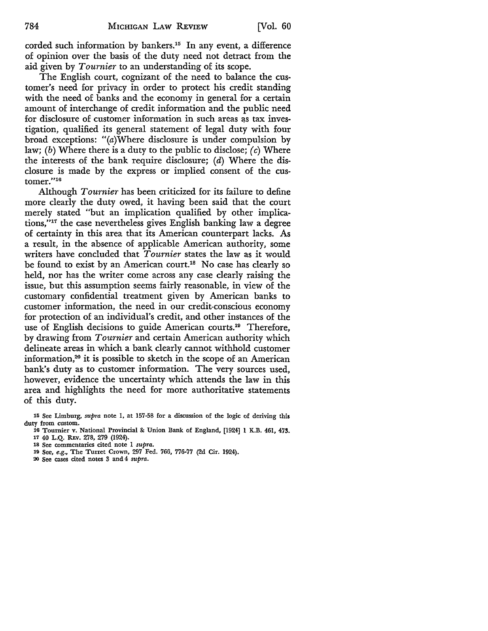corded such information by bankers.15 In any event, a difference of opinion over the basis of the duty need not detract from the aid given by *T ournier* to an understanding of its scope.

The English court, cognizant of the need to balance the customer's need for privacy in order to protect his credit standing with the need of banks and the economy in general for a certain amount of interchange of credit information and the public need for disclosure of customer information in such areas as tax investigation, qualified its general statement of legal duty with four broad exceptions: "(a)Where disclosure is under compulsion by law; (b) Where there is a duty to the public to disclose; *(* c) Where the interests of the bank require disclosure;  $(d)$  Where the disclosure is made by the express or implied consent of the customer."16

Although *Tournier* has been criticized for its failure to define more clearly the duty owed, it having been said that the court merely stated "but an implication qualified by other implications,"17 the case nevertheless gives English banking law a degree of certainty in this area that its American counterpart lacks. As a result, in the absence of applicable American authority, some writers have concluded that *Tournier* states the law as it would be found to exist by an American court.<sup>18</sup> No case has clearly so held, nor has the writer come across any case clearly raising the issue, but this assumption seems fairly reasonable, in view of the customary confidential treatment given by American banks to customer information, the need in our credit-conscious economy for protection of an individual's credit, and other instances of the use of English decisions to guide American courts.19 Therefore, by drawing from *Tournier* and certain American authority which delineate areas in which a bank clearly cannot withhold customer information,20 it is possible to sketch in the scope of an American bank's duty as to customer information. The very sources used, however, evidence the uncertainty which attends the law in this area and highlights the need for more authoritative statements of this duty.

- 19 See, *e.g.,* The Turret Crown, 297 Fed. 766, 776-77 (2d Cir. 1924).
- 20 See cases cited notes 3 and 4 *supra.*

<sup>15</sup> See Limburg, *supra* note I, at 157-58 for a discussion of the logic of deriving this duty from custom.

<sup>16</sup> Toumier v. National Provincial Se Union Bank of England, [1924] I K.B. 461, 473. 11 40 L.Q. REv. 278, 279 (1924).

<sup>18</sup> See commentaries cited note I *supra.*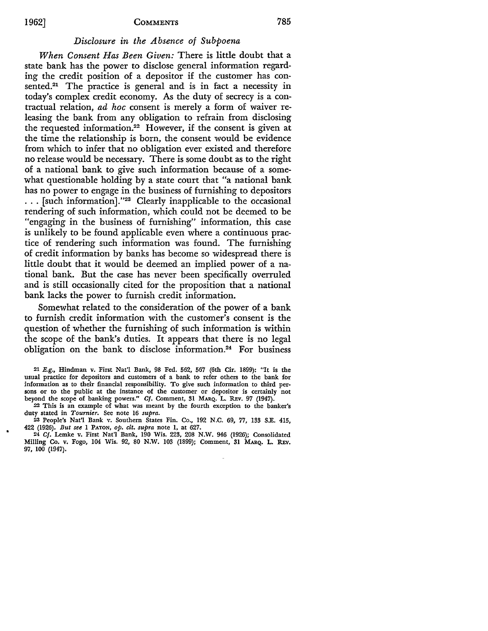#### *Disclosure in the Absence of Subpoena*

*When Consent Has Been Given:* There is little doubt that a state bank has the power to disclose general information regarding the credit position of a depositor if the customer has consented.<sup>21</sup> The practice is general and is in fact a necessity in today's complex credit economy. As the duty of secrecy is a contractual relation, *ad hoc* consent is merely a form of waiver releasing the bank from any obligation to refrain from disclosing the requested information.22 However, if the consent is given at the time the relationship is born, the consent would be evidence from which to infer that no obligation ever existed and therefore no release would be necessary. There is some doubt as to the right of a national bank to give such information because of a somewhat questionable holding by a state court that "a national bank has no power to engage in the business of furnishing to depositors ... [such information]."23 Clearly inapplicable to the occasional rendering of such information, which could not be deemed to be "engaging in the business of furnishing" information, this case is unlikely to be found applicable even where a continuous practice of rendering such information was found. The furnishing of credit information by banks has become so widespread there is little doubt that it would be deemed an implied power of a national bank. But the case has never been specifically overruled and is still occasionally cited for the proposition that a national bank lacks the power to furnish credit information.

Somewhat related to the consideration of the power of a bank to furnish credit information with the customer's consent is the question of whether the furnishing of such information is within the scope of the bank's duties. It appears that there is no legal obligation on the bank to disclose information.24 For business

21 E.g., Hindman v. First Nat'! Bank, 98 Fed. 562, 567 (6th Cir. 1899): "It is the usual practice for depositors and customers of a bank to refer others to the bank for information as to their financial responsibility. To give such information to third persons or to the public at the instance of the customer or depositor is certainly not beyond the scope of banking powers." Cf. Comment, 31 MARQ. L. REv. 97 (1947).

22 This is an example of what was meant by the fourth exception to the banker's duty stated in *Toumier.* See note 16 *supra.* 

23 People's Nat'! Bank v. Southern States Fin. Co., 192 N.C. 69, 77, 133 S.E. 415, 422 (1926). *But see* 1 PATON, *op. cit. supra* note 1, at 627.

24 Cf. Lemke v. First Nat'! Bank, 190 Wis. 223, 208 N.W. 946 (1926); Consolidated Milling Co. v. Fogo, 104 Wis. 92, 80 N.W. 103 (1899); Comment, 31 MARQ. L. REv. 97, 100 (1947).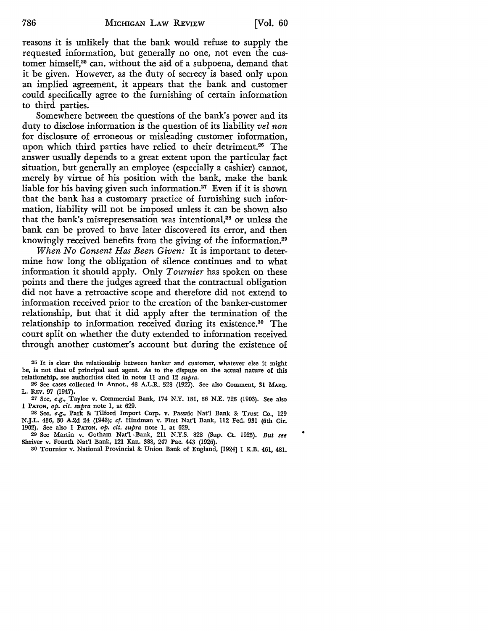•

reasons it is unlikely that the bank would refuse to supply the requested information, but generally no one, not even the customer himself,<sup>25</sup> can, without the aid of a subpoena, demand that it be given. However, as the duty of secrecy is based only upon an implied agreement, it appears that the bank and customer could specifically agree to the furnishing of certain information to third parties.

Somewhere between the questions of the bank's power and its duty to disclose information is the question of its liability *vel non*  for disclosure of erroneous or misleading customer information, upon which third parties have relied to their detriment.<sup>26</sup> The answer usually depends to a great extent upon the particular fact situation, but generally an employee (especially a cashier) cannot, merely by virtue of his position with the bank, make the bank liable for his having given such information.<sup>27</sup> Even if it is shown that the bank has a customary practice of furnishing such information, liability will not be imposed unless it can be shown also that the bank's misrepresensation was intentional,<sup>28</sup> or unless the bank can be proved to have later discovered its error, and then knowingly received benefits from the giving of the information.29

*When No Consent Has Been Given:* It is important to determine how long the obligation of silence continues and to what information it should apply. Only *Tournier* has spoken on these points and there the judges agreed that the contractual obligation did not have a retroactive scope and therefore did not extend to information received prior to the creation of the banker-customer relationship, but that it did apply after the termination of the relationship to information received during its existence.30 The court split on whether the duty extended to information received through another customer's account but during the existence of

25 It is clear the relationship between banker and customer, whatever else it might be, is not that of principal and agent. As to the dispute on the actual nature of this relationship, see authorities cited in notes 11 and 12 *supra.* 

2i3 See cases collected in Annot., 48 A.L.R. 528 (1927). See also Comment, 31 MARQ. L. REv. 97 (1947).

27 See, *e.g.,* Taylor v. Commercial Bank, 174 N.Y. 181, 66 N.E. 726 (1903). See also 1 PATON, *op. cit. supra* note I, at 629.

28 See, *e.g.,* Park 8e Tilford Import Corp. v. Passaic Nat'l Bank 8e Trust Co., 129 N.J.L. 436, 30 A.2d 24 (1943); cf. Hindman v. First Nat'I Bank, 112 Fed. 931 {6th Cir. 1902). See also 1 PATON, *op. cit. supra* note 1, at 629.

29 See Martin v. Gotham Nat'l -Bank, 211 N.Y.S. 828 (Sup. Ct. 1925). *But see*  Shriver v. Fourth Nat'! Bank, 121 Kan. 388, 247 Pac. 443 (1926).

30 Tournier v. National Provincial 8e Union Bank of England, [1924] 1 K.B. 461, 481.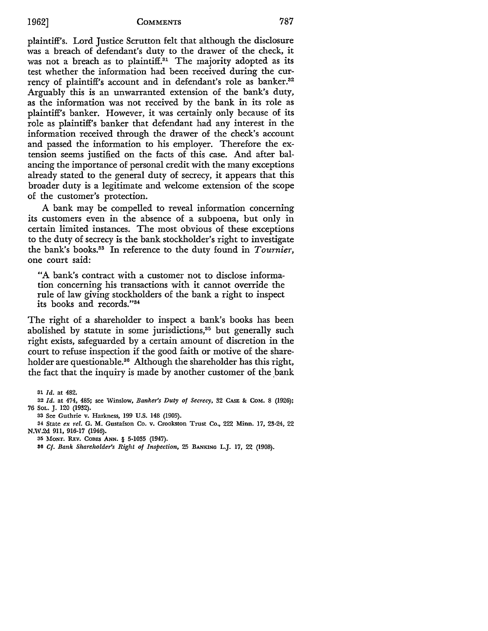plaintiff's. Lord Justice Scrutton felt that although the disclosure was a breach of defendant's duty to the drawer of the check, it was not a breach as to plaintiff.<sup>31</sup> The majority adopted as its test whether the information had been received during the currency of plaintiff's account and in defendant's role as banker.<sup>32</sup> Arguably this is an unwarranted extension of the bank's duty, as the information was not received by the bank in its role as plaintiff's banker. However, it was certainly only because of its role as plaintiff's banker that defendant had any interest in the information received through the drawer of the check's account and passed the information to his employer. Therefore the extension seems justified on the facts of this case. And after balancing the importance of personal credit with the many exceptions already stated to the general duty of secrecy, it appears that this broader duty is a legitimate and welcome extension of the scope of the customer's protection.

A bank may be compelled to reveal information concerning its customers even in the absence of a subpoena, but only in certain limited instances. The most obvious of these exceptions to the duty of secrecy is the bank stockholder's right to investigate the bank's books.33 In reference to the duty found in *Tournier,*  one court said:

"A bank's contract with a customer not to disclose information concerning his transactions with it cannot override the rule of law giving stockholders of the bank a right to inspect its books and records."84

The right of a shareholder to inspect a bank's books has been abolished by statute in some jurisdictions,<sup>35</sup> but generally such right exists, safeguarded by a certain amount of discretion in the court to refuse inspection if the good faith or motive of the shareholder are questionable.<sup>36</sup> Although the shareholder has this right, the fact that the inquiry is made by another customer of the bank

33 See Guthrie v. Harkness, 199 U.S. 148 (1905).

34 State *ex rel.* G. M. Gustafson Co. v. Crookston Trust Co., 222 Minn. 17, 23-24, 22 N.W .2d 911, 916-17 (1946).

35 MONT. REV. CODES ANN. § 5-1035 (1947).

**36** *Cf. Bank Shareholder's Right of Inspection,* 25 BANKING L.J. 17, 22 (1908).

s1 *Id.* at 482.

<sup>32</sup> *Id.* at 474, 485; see Winslow, *Banker's Duty of Secrecy,* 32 CASE & CoM. 8 (1926); 76 SOL. J. 120 (1932).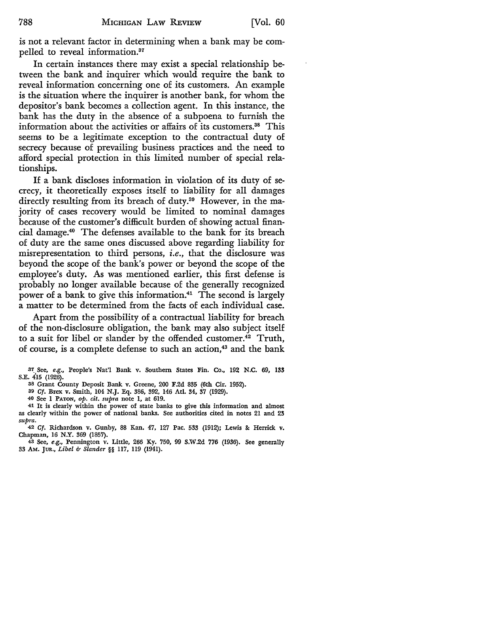is not a relevant factor in determining when a bank may be compelled to reveal information.<sup>37</sup>

In certain instances there may exist a special relationship between the bank and inquirer which would require the bank to reveal information concerning one of its customers. An example is the situation where the inquirer is another bank, for whom the depositor's bank becomes a collection agent. In this instance, the bank has the duty in the absence of a subpoena to furnish the information about the activities or affairs of its customers. 38 This seems to be a legitimate exception to the contractual duty of secrecy because of prevailing business practices and the need to afford special protection in this limited number of special relationships.

If a bank discloses information in violation of its duty of secrecy, it theoretically exposes itself to liability for all damages directly resulting from its breach of duty.<sup>39</sup> However, in the majority of cases recovery would be limited to nominal damages because of the customer's difficult burden of showing actual financial damage.40 The defenses available to the bank for its breach of duty are the same ones discussed above regarding liability for misrepresentation to third persons, *i.e.,* that the disclosure was beyond the scope of the bank's power or beyond the scope of the employee's duty. As was mentioned earlier, this first defense is probably no longer available because of the generally recognized power of a bank to give this information.<sup>41</sup> The second is largely a matter to be determined from the facts of each individual case.

Apart from the possibility of a contractual liability for breach of the non-disclosure obligation, the bank may also subject itself to a suit for libel or slander by the offended customer.<sup>42</sup> Truth, of course, is a complete defense to such an action,<sup>43</sup> and the bank

- 38 Grant County Deposit Bank v. Greene, 200 F.2d 835 (6th Cir. 1952).
- 39 Cf. Brex v. Smith, 104 N.J. Eq. 386, 392, 146 Atl. 34, 37 (1929).
- 4-0 See 1 PATON, *op. cit. supra* note 1, at 619.

41 It is clearly within the power of state banks to give this information and almost as clearly within the power of national banks. See authorities cited in notes 21 and 23 *supra.* 

42 Cf. Richardson v. Gunby, 88 Kan. 47, 127 Pac. 533 (1912); Lewis & Herrick v. Chapman, 16 **N.Y.** 369 (1857).

43 See, *e.g.,* Pennington v. Little, 266 Ky. 750, 99 S.W.2d 776 (1936). See generally 33 AM. JuR., *Libel & Slander* §§ 117, 119 (1941).

s7.,see, *e.g.,* People's Nat'l Bank v. Southern States Fin. Co., 192 N.C. 69, **133**  S.E. 415 (1926).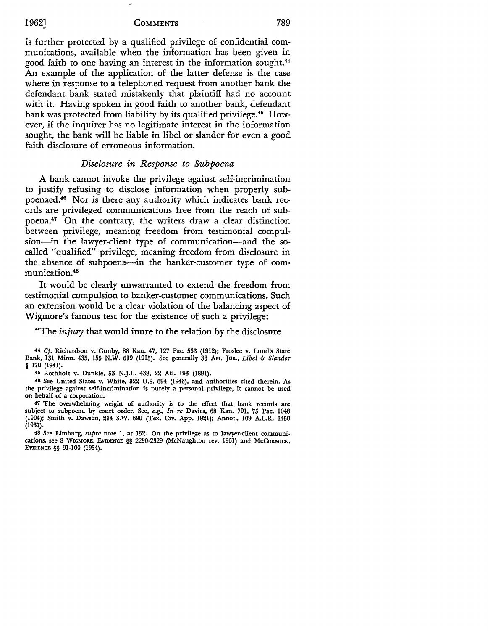is further protected by a qualified privilege of confidential communications, available when the information has been given in good faith to one having an interest in the information sought.<sup>44</sup> An example of the application of the latter defense is the case where in response to a telephoned request from another bank the defendant bank stated mistakenly that plaintiff had no account with it. Having spoken in good faith to another bank, defendant bank was protected from liability by its qualified privilege.45 However, if the inquirer has no legitimate interest in the information sought, the bank will be liable in libel or slander for even a good faith disclosure of erroneous information.

#### *Disclosure in Response to Subpoena*

A bank cannot invoke the privilege against self-incrimination to justify refusing to disclose information when properly subpoenaed.46 Nor is there any authority which indicates bank records are privileged communications free from the reach of subpoena.47 **On** the contrary, the writers draw a clear distinction between privilege, meaning freedom from testimonial compulsion-in the lawyer-client type of communication-and the socalled "qualified" privilege, meaning freedom from disclosure in the absence of subpoena-in the banker-customer type of communication.48

It would be clearly unwarranted to extend the freedom from testimonial compulsion to banker-customer communications. Such an extension would be a clear violation of the balancing aspect of Wigmore's famous test for the existence of such a privilege:

"The *injury* that would inure to the relation by the disclosure

**44** Cf. Richardson v. Gunby, 88 Kan. 47, 127 Pac. 533 (1912); Froslee v. Lund's State Bank, 131 Minn. 435, 155 N.W. 619 (1915). See generally 33 AM. JuR., *Libel & Slander*  § 170 (1941).

45 Rothholz v. Dunkle, 53 N.J.L. 438, 22 Atl. 193 (1891).

46 See United States v. White, 322 U.S. 694 (1943), and authorities cited therein. As the privilege against self-incrimination is purely a personal privilege, it cannot be used on behalf of a corporation.

47 The overwhelming weight of authority is to the effect that bank records are subject to subpoena by court order. See, *e.g., In re* Davies, 68 Kan. 791, 75 Pac. 1048 (1904); Smith v. Dawson, 234 S.W. 690 (Tex. Civ. App. 1921); Annot., 109 A.L.R. 1450 (1937).

48 See Limburg, *supra* note 1, at 152. On the privilege as to lawyer-client communications, see 8 WIGM0RE, EVIDENCE §§ 2290-2329 (McNaughton rev. 1961) and McCORMICK, EVIDENCE §§ 91-100 (1954).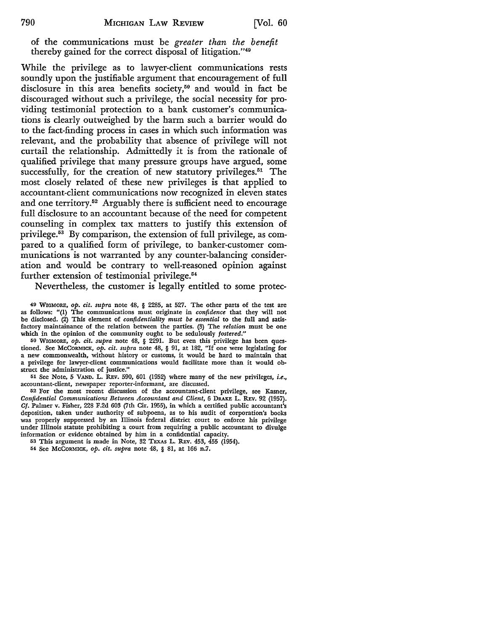of the communications must be *greater than the benefit*  thereby gained for the correct disposal of litigation."49

While the privilege as to lawyer-client communications rests soundly upon the justifiable argument that encouragement of full disclosure in this area benefits society,<sup>50</sup> and would in fact be discouraged without such a privilege, the social necessity for providing testimonial protection to a bank customer's communications is clearly outweighed by the harm such a barrier would do to the fact-finding process in cases in which such information was relevant, and the probability that absence of privilege will not curtail the relationship. Admittedly it is from the rationale of qualified privilege that many pressure groups have argued, some successfully, for the creation of new statutory privileges.<sup>51</sup> The most closely related of these new privileges is that applied to accountant-client communications now recognized in eleven states and one territory.52 Arguably there is sufficient need to encourage full disclosure to an accountant because of the need for competent counseling in complex tax matters to justify this extension of privilege.53 By comparison, the extension of full privilege, as compared to a qualified form of privilege, to banker-customer communications is not warranted by any counter-balancing consideration and would be contrary to well-reasoned opinion against further extension of testimonial privilege. <sup>54</sup>

Nevertheless, the customer is legally entitled to some protec-

40 WIGMORE, *op. cit. supra* note 48, § 2285, at 527. The other parts of the test are as follows: "(l) The communications must originate in *confidence* that they will not be disclosed. (2) This element of *confidentiality must be essential* to the full and satisfactory maintainance of the relation between the parties. (3) The *relation* must be one which in the opinion of the community ought to be sedulously *fostered."* 

50 WIGMORE, *op. cit. supra* note 48, § 2291. But even this privilege has been questioned. See McCORMICK, *op. cit. supra* note 48, § 91, at 182, "If one were legislating for a new commonwealth, without history or customs, it would be hard to maintain that a privilege for lawyer-client communications would facilitate more than it would obstruct the administration of justice."

51 See Note, 5 VAND. L. REv. 590, 601 (1952) where many of the new privileges, *i.e.,*  accountant-client, newspaper reporter-informant, are discussed.

52 For the most recent discussion of the accountant-client privilege, see Kasner, *Confidential Communications Between Accountant and Client,* 6 DRAKE L. REv. 92 (1957). *Cf.* Palmer v. Fisher, 228 F.2d 603 (7th Cir. 1955), in which a certified public accountant's deposition, taken under authority of subpoena, as to his audit of corporation's books was properly suppressed by an Illinois federal district court to enforce his privilege under Illinois statute prohibiting a court from requiring a public accountant to divulge information or evidence obtained by him in a confidential capacity.

53 This argument is made in Note, 32 TEXAS L. REv. 453, 455 (1954).

54 See McCORMICK, *op. cit. supra* note 48, § 81, at 166 n.7.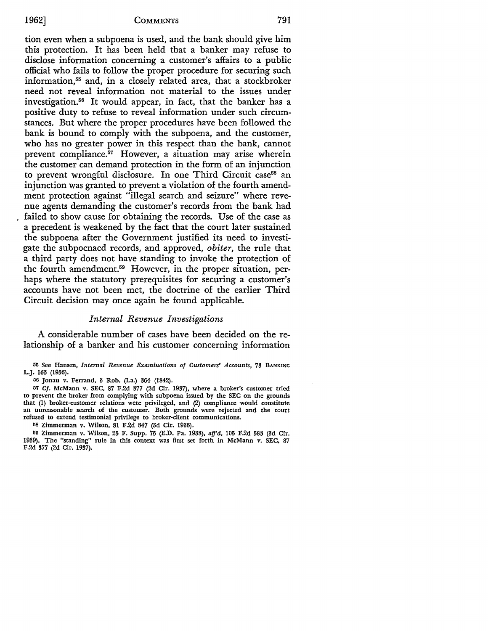tion even when a subpoena is used, and the bank should give him this protection. It has been held that a banker may refuse to disclose information concerning a customer's affairs to a public official who fails to follow the proper procedure for securing such information, 55 and, in a closely related area, that a stockbroker need not reveal information not material to the issues under investigation.56 It would appear, in fact, that the banker has a positive duty to refuse to reveal information under such circumstances. But where the proper procedures have been followed the bank is bound to comply with the subpoena, and the customer, who has no greater power in this respect than the bank, cannot prevent compliance.<sup>57</sup> However, a situation may arise wherein the customer can demand protection in the form of an injunction to prevent wrongful disclosure. In one Third Circuit case<sup>58</sup> an injunction was granted to prevent a violation of the fourth amendment protection against "illegal search and seizure" where revenue agents demanding the customer's records from the bank had failed to show cause for obtaining the records. Use of the case as a precedent is weakened by the fact that the court later sustained the subpoena after the Government justified its need to investigate the subpoenaed records, and approved, *obiter,* the rule that a third party does not have standing to invoke the protection of the fourth amendment.<sup>59</sup> However, in the proper situation, perhaps where the statutory prerequisites for securing a customer's accounts have not been met, the doctrine of the earlier Third Circuit decision may once again be found applicable.

#### *Internal Revenue Investigations*

A considerable number of cases have been decided on the relationship of a banker and his customer concerning information

55 See Hansen, *Internal Revenue Examinations of Customers' Accounts,* 73 BANKING **L.J.** 163 (1956).

G6 Jonau v. Ferrand, 3 Rob. (La.) 364 (1842).

57 *Cf.* McMann v. SEC, 87 F.2d 377 (2d Cir. 1937), where a broker's customer tried to prevent the broker from complying with subpoena issued by the SEC on the grounds that (1) broker-customer relations were privileged, and (2) compliance would constitute an unreasonable search of the customer. Both grounds were rejected and the court refused to extend testimonial privilege to broker-client communications.

58 Zimmerman v. Wilson, 81 F.2d 847 (3d Cir. 1936).

59 Zimmerman v. Wilson, 25 F. Supp. 75 (E.D. Pa. 1938), *afj'd,* 105 F.2d 583 (3d Cir. 1939). The "standing" rule in this context was first set forth in McMann v. SEC, 87 F.2d 377 (2d Cir. 1937).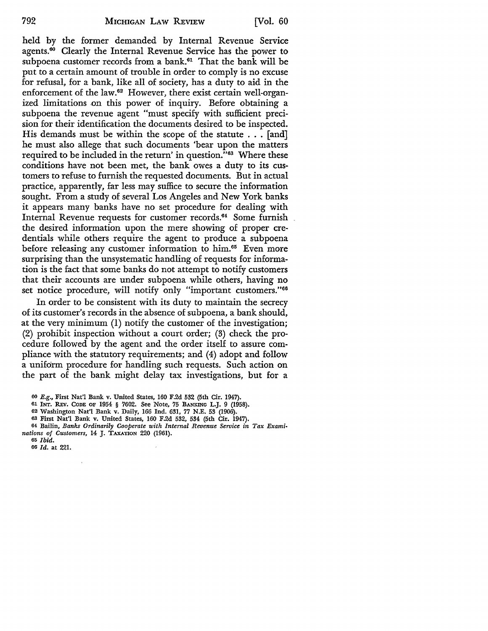held by the former demanded by Internal Revenue Service agents.<sup>60</sup> Clearly the Internal Revenue Service has the power to subpoena customer records from a bank.<sup>61</sup> That the bank will be put to a certain amount of trouble in order to comply is no excuse for refusal, for a bank, like all of society, has a duty to aid in the enforcement of the law.<sup>62</sup> However, there exist certain well-organized limitations on this power of inquiry. Before obtaining a subpoena the revenue agent "must specify with sufficient precision for their identification the documents desired to be inspected. His demands must be within the scope of the statute  $\ldots$  [and] he must also allege that such documents 'bear upon the matters required to be included in the return' in question.<sup>"63</sup> Where these conditions have not been met, the bank owes a duty to its customers to refuse to furnish the requested documents. But in actual practice, apparently, far less may suffice to secure the information sought. From a study of several Los Angeles and New York banks it appears many banks have no set procedure for dealing with Internal Revenue requests for customer records.<sup>64</sup> Some furnish the desired information upon the mere showing of proper credentials while others require the agent to produce a subpoena before releasing any customer information to him.<sup>65</sup> Even more surprising than the unsystematic handling of requests for information is the fact that some banks do not attempt to notify customers that their accounts are under subpoena while others, having no set notice procedure, will notify only "important customers."<sup>66</sup>

In order to be consistent with its duty to maintain the secrecy of its customer's records in the absence of subpoena, a bank should, at the very minimum (I) notify the customer of the investigation; (2) prohibit inspection without a court order; (3) check the procedure followed by the agent and the order itself to assure compliance with the statutory requirements; and (4) adopt and follow a uniform procedure for handling such requests. Such action on the part of the bank might delay tax investigations, but for a

63 First Nat'! Bank v. United States, 160 F.2d 532, 534 (5th Cir. 1947).

65 *Ibid.* 

66 *Id.* at 221.

<sup>60</sup> E.g., First Nat'! Bank v. United States, 160 F.2d 532 (5th Cir. 1947).

<sup>61</sup> INT. REv. CODE OF 1954 § 7602. See Note, 75 BANKING L.J. 9 (1958).

<sup>62</sup> Washington Nat'! Bank v. Daily, 166 Ind. 631, 77 N.E. 53 (1906).

<sup>64</sup> Bailin, *Banks Ordinarily Cooperate with Internal Revenue Service in Tax Examinations of Customers,* 14 J. TAXATION 220 (1961).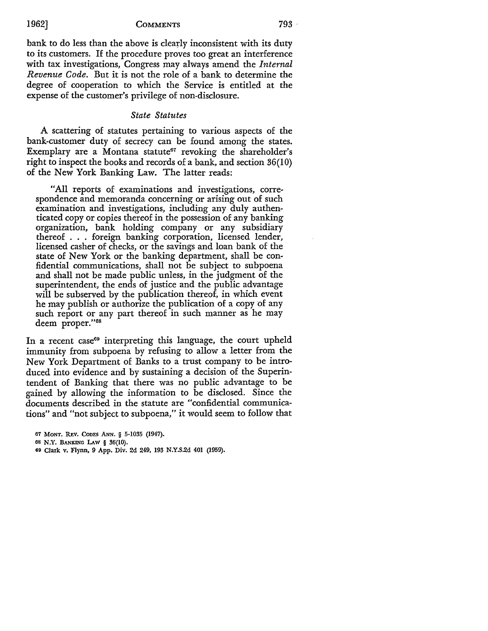#### 1962] **COMMENTS** 793 -

bank to do less than the above is clearly inconsistent with its duty to its customers. If the procedure proves too great an interference with tax investigations, Congress may always amend the *Internal Revenue Code.* But it is not the role of a bank to determine the degree of cooperation to which the Service is entitled at the expense of the customer's privilege of non-disclosure.

#### *State Statutes*

A scattering of statutes pertaining to various aspects of the bank-customer duty of secrecy can be found among the states. Exemplary are a Montana statute<sup>67</sup> revoking the shareholder's right to inspect the books and records of a bank, and section 36(10) of the New York Banking Law. The latter reads:

"All reports of examinations and investigations, correspondence and memoranda concerning or arising out of such examination and investigations, including any duly authenticated copy or copies thereof in the possession of any banking organization, bank holding company or any subsidiary thereof ... foreign banking corporation, licensed lender, licensed casher of checks, or the savings and loan bank of the state of New York or the banking department, shall be confidential communications, shall not be subject to subpoena and shall not be made public unless, in the judgment of the superintendent, the ends of justice and the public advantage will be subserved by the publication thereof, in which event he may publish or authorize the publication of a copy of any such report or any part thereof in such manner as he may deem proper."68

In a recent case<sup>69</sup> interpreting this language, the court upheld immunity from subpoena by refusing to allow a letter from the New York Department of Banks to a trust company to be introduced into evidence and by sustaining a decision of the Superintendent of Banking that there was no public advantage to be gained by allowing the information to be disclosed. Since the documents described in the statute are "confidential communications" and "not subject to subpoena," it would seem to follow that

60 Clark v. Flynn, 9 App. Div. 2d 249, 193 N.Y.S.2d 401 (1959).

<sup>67</sup> MONT. REV. CODES ANN. § 5-1035 (1947).

<sup>68</sup> N.Y. BANKING LAW § 36(10).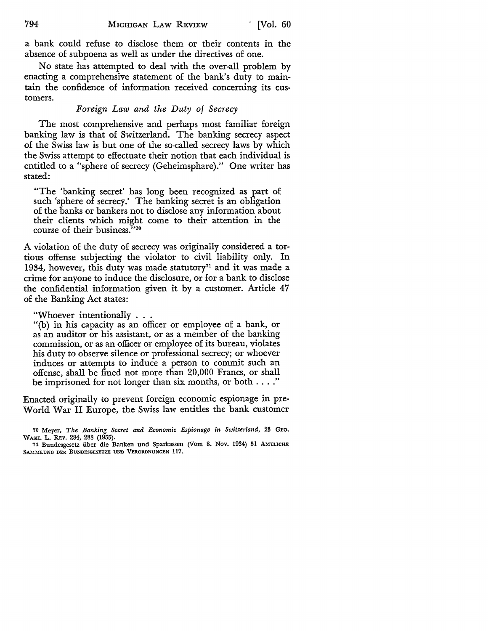a bank could refuse to disclose them or their contents in the absence of subpoena as well as under the directives of one.

No state has attempted to deal with the over-all problem by enacting a comprehensive statement of the bank's duty to maintain the confidence of information received concerning its customers.

### *Foreign Law and the Duty of Secrecy*

The most comprehensive and perhaps most familiar foreign banking law is that of Switzerland. The banking secrecy aspect of the Swiss law is but one of the so-called secrecy laws by which the Swiss attempt to effectuate their notion that each individual is entitled to a "sphere of secrecy (Geheimsphare)." One writer has stated:

"The 'banking secret' has long been recognized as part of such 'sphere of secrecy.' The banking secret is an obligation of the banks or bankers not to disclose any information about their clients which might come to their attention in the course of their business.''70

A violation of the duty of secrecy was originally considered a tortious offense subjecting the violator to civil liability only. In 1934, however, this duty was made statutory $71$  and it was made a crime for anyone to induce the disclosure, or for a bank to disclose the confidential information given it by a customer. Article 47 of the Banking Act states:

"Whoever intentionally ...

"(b) in his capacity as an officer or employee of a bank, or as an auditor or his assistant, or as a member of the banking commission, or as an officer or employee of its bureau, violates his duty to observe silence or professional secrecy; or whoever induces or attempts to induce a person to commit such an offense, shall be fined not more than 20,000 Francs, or shall be imprisoned for not longer than six months, or both  $\dots$ ."

Enacted originally to prevent foreign economic espionage in pre-World War II Europe, the Swiss law entitles the bank customer

<sup>70</sup> Meyer, *The Banking Secret and Economic Espionage in Switzerland,* 23 GEO. WASH. L. REV. 284, 288 (1955).

<sup>&#</sup>x27;l1 Bundesgesetz iiber die Banken und Sparkassen (Vom 8. Nov. 1934) 51 AMTLICHE SAMMLUNG DER BUNDESGESETZE UND VERORDNUNGEN 117.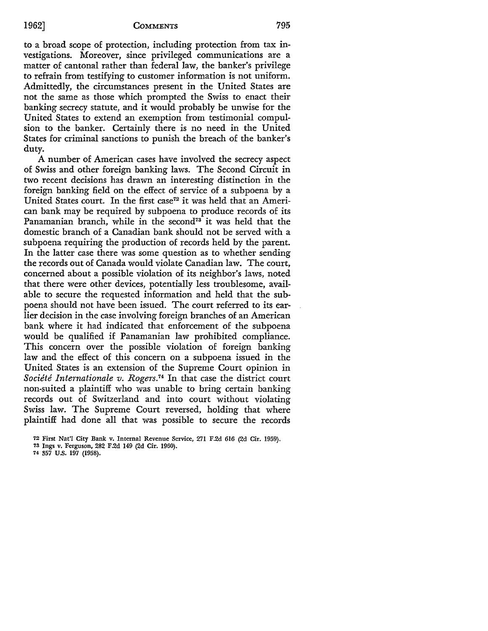to a broad scope of protection, including protection from tax investigations. Moreover, since privileged communications are a matter of cantonal rather than federal law, the banker's privilege to refrain from testifying to customer information is not uniform. Admittedly, the circumstances present in the United States are not the same as those which prompted the Swiss to enact their banking secrecy statute, and it would probably be unwise for the United States to extend an exemption from testimonial compulsion to the banker. Certainly there is no need in the United States for criminal sanctions to punish the breach of the banker's duty.

A number of American cases have involved the secrecy aspect of Swiss and other foreign banking laws. The Second Circuit in two recent decisions has drawn an interesting distinction in the foreign banking field on the effect of service of a subpoena by a United States court. In the first case<sup>72</sup> it was held that an American bank may be required by subpoena to produce records of its Panamanian branch, while in the second<sup>73</sup> it was held that the domestic branch of a Canadian bank should not be served with a subpoena requiring the production of records held by the parent. In the latter case there was some question as to whether sending the records out of Canada would violate Canadian law. The court, concerned about a possible violation of its neighbor's laws, noted that there were other devices, potentially less troublesome, available to secure the requested information and held that the subpoena should not have been issued. The court referred to its earlier decision in the case involving foreign branches of an American bank where it had indicated that enforcement of the subpoena would be qualified if Panamanian law prohibited compliance. This concern over the possible violation of foreign banking law and the effect of this concern on a subpoena issued in the United States is an extension of the Supreme Court opinion in *Societe Internationale v. Rogers.*74 In that case the district court non-suited a plaintiff who was unable to bring certain banking records out of Switzerland and into court without violating Swiss law. The Supreme Court reversed, holding that where plaintiff had done all that was possible to secure the records

<sup>72</sup> First Nat'! City Bank v. Internal Revenue Service, 271 F.2d 616 (2d Cir. 1959).

<sup>73</sup> Ings v. Ferguson, 282 F.2d 149 (2d Cir. 1960).

<sup>74</sup> 357 U.S. 197 (1958).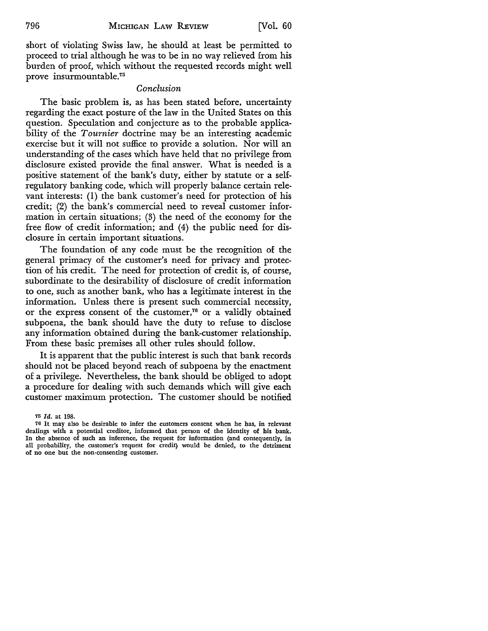short of violating Swiss law, he should at least be permitted to proceed to trial although he was to be in no way relieved from his burden of proof, which without the requested records might well prove insurmountable. <sup>75</sup>

#### *Conclusion*

The basic problem is, as has been stated before, uncertainty regarding the exact posture of the law in the United States on this question. Speculation and conjecture as to the probable applicability of the *Tournier* doctrine may be an interesting academic exercise but it will not suffice to provide a solution. Nor will an understanding of the cases which have held that no privilege from disclosure existed provide the final answer. What is needed is a positive statement of the bank's duty, either by statute or a selfregulatory banking code, which will properly balance certain relevant interests: (1) the bank customer's need for protection of his credit; (2) the bank's commercial need to reveal customer information in certain situations; (3) the need of the economy for the free flow of credit information; and (4) the public need for disclosure in certain important situations.

The foundation of any code must be the recognition of the general primacy of the customer's need for privacy and protection of his credit. The need for protection of credit is, of course, subordinate to the desirability of disclosure of credit information to one, such as another bank, who has a legitimate interest in the information. Unless there is present such commercial necessity, or the express consent of the customer,76 or a validly obtained subpoena, the bank should have the duty to refuse to disclose any information obtained during the bank-customer relationship. From these basic premises all other rules should follow.

It is apparent that the public interest is such that bank records should not be placed beyond reach of subpoena by the enactment of a privilege. Nevertheless, the bank should be obliged to adopt a procedure for dealing with such demands which will give each customer maximum protection. The customer should be notified

<sup>75</sup>*Id.* at 198.

<sup>76</sup> It may also be desirable to infer the customers consent when he has, in relevant dealings with a potential creditor, informed that person of the identity of his bank. In the absence of such an inference, the request for information (and consequently, in all probability, the customer's request for credit) would be denied, to the detriment of no one but the non-consenting customer.